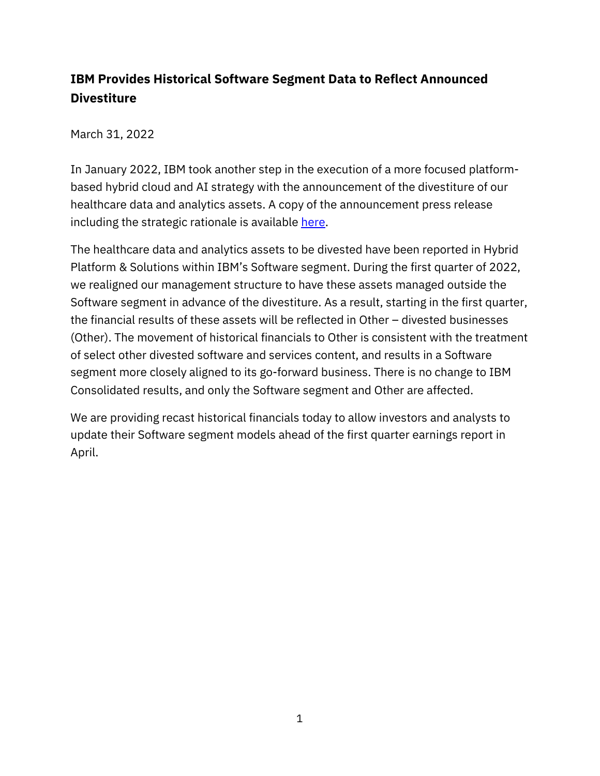## **IBM Provides Historical Software Segment Data to Reflect Announced Divestiture**

March 31, 2022

In January 2022, IBM took another step in the execution of a more focused platformbased hybrid cloud and AI strategy with the announcement of the divestiture of our healthcare data and analytics assets. A copy of the announcement press release including the strategic rationale is available [here.](https://newsroom.ibm.com/2022-01-21-Francisco-Partners-to-Acquire-IBMs-Healthcare-Data-and-Analytics-Assets)

The healthcare data and analytics assets to be divested have been reported in Hybrid Platform & Solutions within IBM's Software segment. During the first quarter of 2022, we realigned our management structure to have these assets managed outside the Software segment in advance of the divestiture. As a result, starting in the first quarter, the financial results of these assets will be reflected in Other – divested businesses (Other). The movement of historical financials to Other is consistent with the treatment of select other divested software and services content, and results in a Software segment more closely aligned to its go-forward business. There is no change to IBM Consolidated results, and only the Software segment and Other are affected.

We are providing recast historical financials today to allow investors and analysts to update their Software segment models ahead of the first quarter earnings report in April.